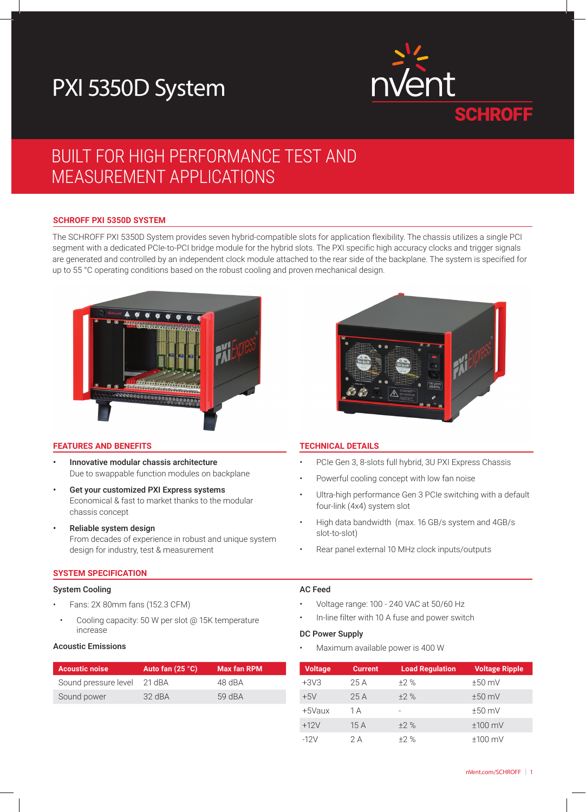# PXI 5350D System



## BUILT FOR HIGH PERFORMANCE TEST AND MEASUREMENT APPLICATIONS

#### **SCHROFF PXI 5350D SYSTEM**

The SCHROFF PXI 5350D System provides seven hybrid-compatible slots for application flexibility. The chassis utilizes a single PCI segment with a dedicated PCIe-to-PCI bridge module for the hybrid slots. The PXI specific high accuracy clocks and trigger signals are generated and controlled by an independent clock module attached to the rear side of the backplane. The system is specified for up to 55 °C operating conditions based on the robust cooling and proven mechanical design.



#### **FEATURES AND BENEFITS TECHNICAL DETAILS**

- Innovative modular chassis architecture Due to swappable function modules on backplane
- Get your customized PXI Express systems Economical & fast to market thanks to the modular chassis concept
- Reliable system design From decades of experience in robust and unique system design for industry, test & measurement

#### **SYSTEM SPECIFICATION**

#### System Cooling

- Fans: 2X 80mm fans (152.3 CFM)
- Cooling capacity: 50 W per slot @ 15K temperature increase

#### Acoustic Emissions

| <b>Acoustic noise</b> | Auto fan (25 °C) | <b>Max fan RPM</b> |
|-----------------------|------------------|--------------------|
| Sound pressure level  | 21 dBA           | 48 dBA             |
| Sound power           | $32$ dBA         | 59 dBA             |



- PCIe Gen 3, 8-slots full hybrid, 3U PXI Express Chassis
- Powerful cooling concept with low fan noise
- Ultra-high performance Gen 3 PCIe switching with a default four-link (4x4) system slot
- High data bandwidth (max. 16 GB/s system and 4GB/s slot-to-slot)
- Rear panel external 10 MHz clock inputs/outputs

#### AC Feed

- Voltage range: 100 240 VAC at 50/60 Hz
- In-line filter with 10 A fuse and power switch

#### DC Power Supply

Maximum available power is 400 W

| <b>Voltage</b> | <b>Current</b> | <b>Load Regulation</b> | <b>Voltage Ripple</b> |
|----------------|----------------|------------------------|-----------------------|
| $+3V3$         | 25 A           | $+2%$                  | $±50$ mV              |
| $+5V$          | 25A            | $+2%$                  | $±50$ mV              |
| +5Vaux         | 1 A            |                        | $±50$ mV              |
| $+12V$         | 15A            | $+2%$                  | $±100$ mV             |
| $-12V$         | 2 A            | $+2%$                  | $±100$ mV             |